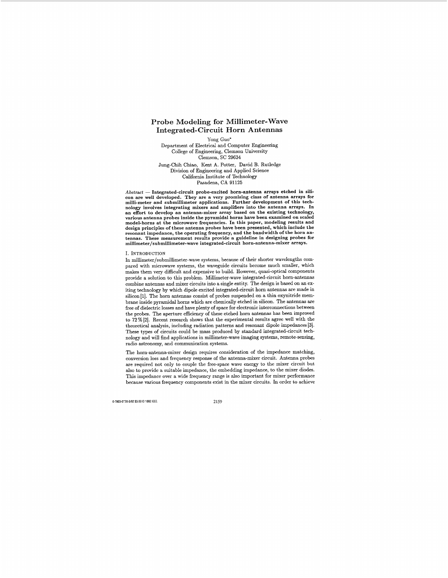# Probe Modeling for Millimeter-Wave Integrated- Circuit Horn Antennas

Yong Guo'

Department of Electrical and Computer Engineering College of Engineering, Clemson University Clemson, SC 29634 Jung-Chih Chiao, Kent A. Potter, David B. Rutledge

Division of Engineering and Applied Science California Institute of Technology Pasadena, CA 91125

Pasadena, CA 91125<br>Abstract — Integrated-circuit probe-excited horn-antenna arrays etched in sili-<br>con are well developed. They are a very promising class of antenna arrays for<br>milli-meter and submillimeter applications. F nology involves integrating mixers and amplifiers into the antenna arrays. In an effort to develop an antenna-mixer array based on the existing technology, various antenna probes inside the pyramidal horns have been examined on scaled model-horns at the microwave frequencies. In this paper, modeling results and design principles of these antenna probes have been presented, which include the resonant impedance, the operating frequency, and the bandwidth of the horn antennas. These measurement results provide a guideline in designing probes for **millimeter/submillimeter-wave** integrated-circuit horn-antenna-mixer arrays.

## I. INTRODUCTION

In **millimeter/submillimeter-wave** systems, because of their shorter wavelengths compared with microwave systems, the waveguide circuits become much smaller, which makes them very difficult and expensive to build. However, quasi-optical components provide a solution to this problem. Millimeter-wave integrated-circuit horn-antennas combine antennas and mixer circuits into a single entity. The design is based on an exiting technology by which dipole excited integrated-circuit horn antennas are made in silicon[l]. The horn antennas consist of probes suspended on a thin oxynitride membrane inside pyramidal horns which are chemically etched in silicon. The antennas are free of dielectric losses and have plenty of space for electronic interconnections between the probes. The aperture efficiency of these etched horn antennas has been improved to 72 % [2]. Recent research shows that the experimental results agree well with the theoretical analysis, including radiation patterns and resonant dipole impedances [3]. These types of circuits could be mass produced by standard integrated-circuit technology and will find applications in millimeter-wave imaging systems, remote-sensing, radio astronomy, and communication systems.

The horn-antenna-mixer design requires consideration of the impedance matching, conversion loss and frequency response of the antenna-mixer circuit. Antenna probes are required not only to couple the free-space wave energy to the mixer circuit but also to provide a suitable impedance, the embedding impedance, to the mixer diodes. This impedance over a wide frequency range is also important for mixer performance because various frequency components exist in the mixer circuits. In order to achieve

0.7803-0730-5/92 \$3.00  $\circ$  1992 IEEE.<br>2159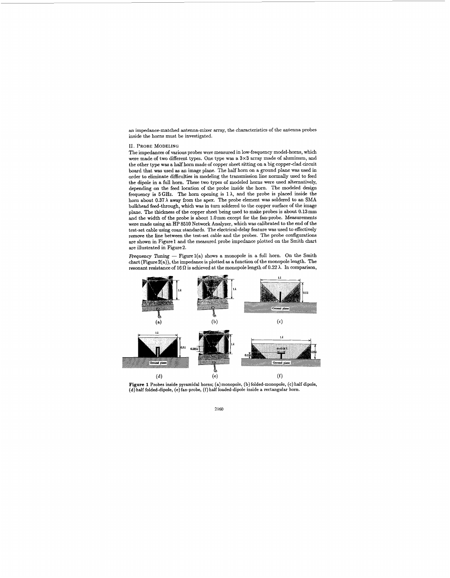an impedance-matched antenna-mixer array, the characteristics of the antenna probes inside the horns must be investigated.

## 11. **PROBE** MODELING

The impedances of various probes were measured in low-frequency model-horns, which were made of two different types. One type was a 3x3 array made of aluminum, and the other type was a half horn made of copper sheet sitting on a big copper-clad circuit board that was used **as** an image plane. The half horn on a ground plane **was** used in order to eliminate difficulties in modeling the transmission line normally used to feed the dipole in a full horn. These two types of modeled horns were used alternatively, depending on the feed location of the probe inside the horn. The modeled design frequency is  $5 \text{ GHz}$ . The horn opening is  $1 \lambda$ , and the probe is placed inside the horn about  $0.37\lambda$  away from the apex. The probe element was soldered to an SMA bulkhead feed-through, which was in turn soldered to the copper surface of the image plane. The thickness of the copper sheet being used to make probes is about 0.13mm and the width of the probe is about I.Omm except for the fan-probe. Measurements were made using **ah HP** 8510 Network Analyzer, which was calibrated to the end of the test-set cable using coax standards. The electrical-delay feature **was** used to effectively remove the line between the test-set cable and the probes. The probe configurations are shown in Figure1 and the measured probe impedance plotted on the Smith chart are illustrated in Figure2.

Frequency Tuning - Figure 1(a) shows a monopole in a full horn. On the Smith chart (Figure 2(a)), the impedance is plotted **as** a function of the monopole length. The resonant resistance of 16  $\Omega$  is achieved at the monopole length of 0.22  $\lambda$ . In comparison,



**Figure 1** Probes inside pyramidal horns; (a) monopole, (b) folded-monopole, (c) half dipole, (d) **half** folded-dipole, (e) fan-probe, **(f)** half loaded-dipole inside a rectangular horn.

2160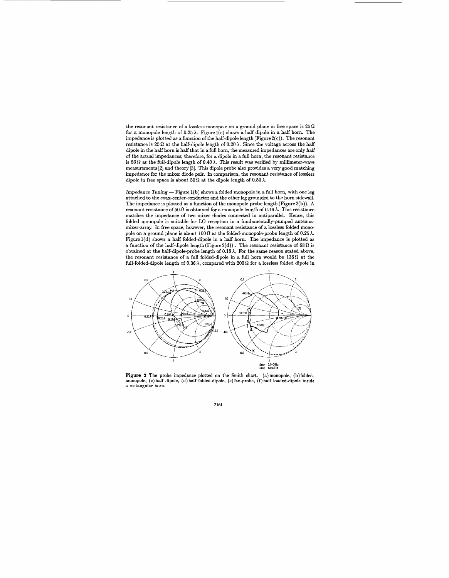the resonant resistance of a lossless monopole on a ground plane in free space is  $25\,\Omega$ for a monopole length of  $0.25 \lambda$ . Figure  $1(c)$  shows a half dipole in a half horn. The impedance is plotted **as** a function of the half-dipole length (Figure2(c)). The resonant resistance is  $25\Omega$  at the half-dipole length of  $0.20\lambda$ . Since the voltage across the half dipole in the half horn is half that in a full horn, the measured impedances are only *half*  of the actual impedances; therefore, for a dipole in a full horn, the resonant resistance is  $50\Omega$  at the full-dipole length of  $0.40\lambda$ . This result was verified by millimeter-wave measurements [2] and theory [3]. This dipole probe also provides a very good matching impedance for the mixer diode pair. In comparison, the resonant resistance of lossless dipole in free space is about  $50 \Omega$  at the dipole length of  $0.50 \lambda$ .

Impedance Tuning  $-$  Figure 1(b) shows a folded monopole in a full horn, with one leg attached to the coax-center-conductor and the other leg grounded to the horn sidewall. The impedance is plotted **as** a function of the monopole-probe length(Figure2(b)). **A**  resonant resistance of  $50 \Omega$  is obtained for a monopole length of  $0.19 \lambda$ . This resistance matches the impedance of two mixer diodes connected in antiparallel. Hence, this folded monopole **is** suitable for LO reception in a fundamentally-pumped antennamixer-array. In free space, however, the resonant resistance of a lossless folded monopole on a ground plane is about  $100 \Omega$  at the folded-monopole-probe length of 0.25  $\lambda$ . Figurel(d) shows a half folded-dipole in a half horn. The impedance is plotted **as**  a function of the half-dipole length (Figure 2(d)). The resonant resistance of 68  $\Omega$  is obtained at the half-dipole-probe length of 0.18A. For the same reason stated above, the resonant resistance of a full folded-dipole in a full horn would be  $136\Omega$  at the full-folded-dipole length of  $0.36\,\lambda,$  compared with  $200\,\Omega$  for a lossless folded dipole in



**Figure 2** The probe impedance plotted on the Smith chart. (a)monopole, (b)folded-**monopole,** *(c)* **half dipole,** (d) **half folded-dipole, (e)fan-probe, (f) half loaded-dipole inside**  a rectangular **horn.** 

**2161**